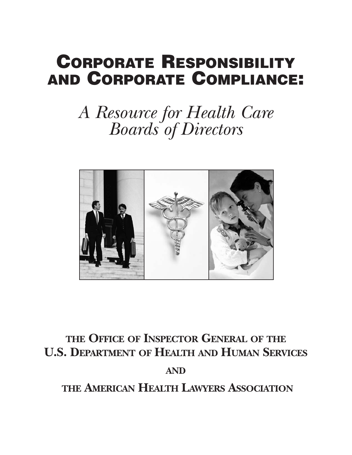## **CORPORATE RESPONSIBILITY AND CORPORATE COMPLIANCE:**

# *A Resource for Health Care Boards of Directors*



## **THE OFFICE OF INSPECTOR GENERAL OF THE U.S. DEPARTMENT OF HEALTH AND HUMAN SERVICES**

## **AND**

**THE AMERICAN HEALTH LAWYERS ASSOCIATION**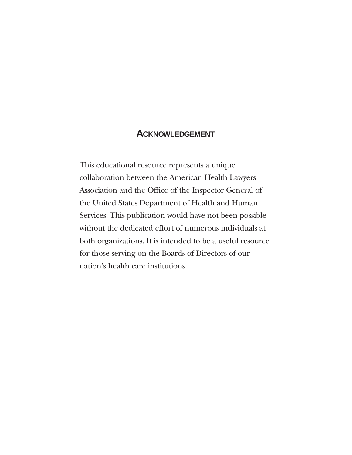## **ACKNOWLEDGEMENT**

This educational resource represents a unique collaboration between the American Health Lawyers Association and the Office of the Inspector General of the United States Department of Health and Human Services. This publication would have not been possible without the dedicated effort of numerous individuals at both organizations. It is intended to be a useful resource for those serving on the Boards of Directors of our nation's health care institutions.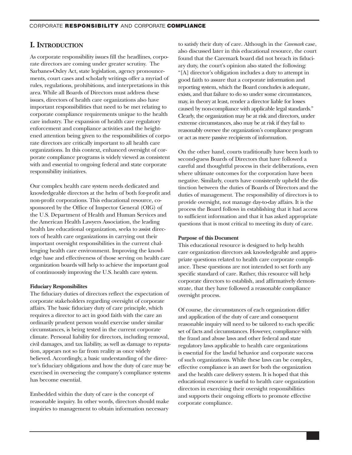### **I. INTRODUCTION**

As corporate responsibility issues fill the headlines, corporate directors are coming under greater scrutiny. The Sarbanes-Oxley Act, state legislation, agency pronouncements, court cases and scholarly writings offer a myriad of rules, regulations, prohibitions, and interpretations in this area. While all Boards of Directors must address these issues, directors of health care organizations also have important responsibilities that need to be met relating to corporate compliance requirements unique to the health care industry. The expansion of health care regulatory enforcement and compliance activities and the heightened attention being given to the responsibilities of corporate directors are critically important to all health care organizations. In this context, enhanced oversight of corporate compliance programs is widely viewed as consistent with and essential to ongoing federal and state corporate responsibility initiatives.

Our complex health care system needs dedicated and knowledgeable directors at the helm of both for-profit and non-profit corporations. This educational resource, cosponsored by the Office of Inspector General (OIG) of the U.S. Department of Health and Human Services and the American Health Lawyers Association, the leading health law educational organization, seeks to assist directors of health care organizations in carrying out their important oversight responsibilities in the current challenging health care environment. Improving the knowledge base and effectiveness of those serving on health care organization boards will help to achieve the important goal of continuously improving the U.S. health care system.

#### **Fiduciary Responsibilites**

The fiduciary duties of directors reflect the expectation of corporate stakeholders regarding oversight of corporate affairs. The basic fiduciary duty of care principle, which requires a director to act in good faith with the care an ordinarily prudent person would exercise under similar circumstances, is being tested in the current corporate climate. Personal liability for directors, including removal, civil damages, and tax liability, as well as damage to reputation, appears not so far from reality as once widely believed. Accordingly, a basic understanding of the director's fiduciary obligations and how the duty of care may be exercised in overseeing the company's compliance systems has become essential.

Embedded within the duty of care is the concept of reasonable inquiry. In other words, directors should make inquiries to management to obtain information necessary

to satisfy their duty of care. Although in the *Caremark* case, also discussed later in this educational resource, the court found that the Caremark board did not breach its fiduciary duty, the court's opinion also stated the following: "[A] director's obligation includes a duty to attempt in good faith to assure that a corporate information and reporting system, which the Board concludes is adequate, exists, and that failure to do so under some circumstances, may, in theory at least, render a director liable for losses caused by non-compliance with applicable legal standards." Clearly, the organization may be at risk and directors, under extreme circumstances, also may be at risk if they fail to reasonably oversee the organization's compliance program or act as mere passive recipients of information.

On the other hand, courts traditionally have been loath to second-guess Boards of Directors that have followed a careful and thoughtful process in their deliberations, even where ultimate outcomes for the corporation have been negative. Similarly, courts have consistently upheld the distinction between the duties of Boards of Directors and the duties of management. The responsibility of directors is to provide oversight, not manage day-to-day affairs. It is the process the Board follows in establishing that it had access to sufficient information and that it has asked appropriate questions that is most critical to meeting its duty of care.

#### **Purpose of this Document**

This educational resource is designed to help health care organization directors ask knowledgeable and appropriate questions related to health care corporate compliance. These questions are not intended to set forth any specific standard of care. Rather, this resource will help corporate directors to establish, and affirmatively demonstrate, that they have followed a reasonable compliance oversight process.

Of course, the circumstances of each organization differ and application of the duty of care and consequent reasonable inquiry will need to be tailored to each specific set of facts and circumstances. However, compliance with the fraud and abuse laws and other federal and state regulatory laws applicable to health care organizations is essential for the lawful behavior and corporate success of such organizations. While these laws can be complex, effective compliance is an asset for both the organization and the health care delivery system. It is hoped that this educational resource is useful to health care organization directors in exercising their oversight responsibilities and supports their ongoing efforts to promote effective corporate compliance.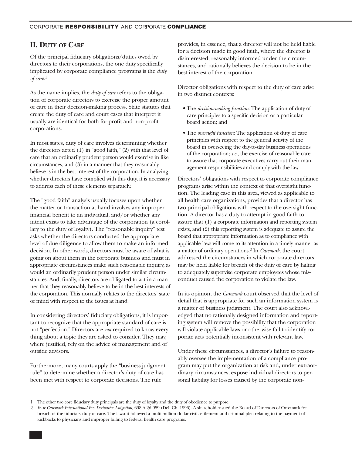## **II. DUTY OF CARE**

Of the principal fiduciary obligations/duties owed by directors to their corporations, the one duty specifically implicated by corporate compliance programs is the *duty of care*. 1

As the name implies, the *duty of care* refers to the obligation of corporate directors to exercise the proper amount of care in their decision-making process. State statutes that create the duty of care and court cases that interpret it usually are identical for both for-profit and non-profit corporations.

In most states, duty of care involves determining whether the directors acted (1) in "good faith," (2) with that level of care that an ordinarily prudent person would exercise in like circumstances, and (3) in a manner that they reasonably believe is in the best interest of the corporation. In analyzing whether directors have complied with this duty, it is necessary to address each of these elements separately.

The "good faith" analysis usually focuses upon whether the matter or transaction at hand involves any improper financial benefit to an individual, and/or whether any intent exists to take advantage of the corporation (a corollary to the duty of loyalty). The "reasonable inquiry" test asks whether the directors conducted the appropriate level of due diligence to allow them to make an informed decision. In other words, directors must be aware of what is going on about them in the corporate business and must in appropriate circumstances make such reasonable inquiry, as would an ordinarily prudent person under similar circumstances. And, finally, directors are obligated to act in a manner that they reasonably believe to be in the best interests of the corporation. This normally relates to the directors' state of mind with respect to the issues at hand.

In considering directors' fiduciary obligations, it is important to recognize that the appropriate standard of care is not "perfection." Directors are *not* required to know everything about a topic they are asked to consider. They may, where justified, rely on the advice of management and of outside advisors.

Furthermore, many courts apply the "business judgment rule" to determine whether a director's duty of care has been met with respect to corporate decisions. The rule

provides, in essence, that a director will not be held liable for a decision made in good faith, where the director is disinterested, reasonably informed under the circumstances, and rationally believes the decision to be in the best interest of the corporation.

Director obligations with respect to the duty of care arise in two distinct contexts:

- The *decision-making function*: The application of duty of care principles to a specific decision or a particular board action; and
- The *oversight function*: The application of duty of care principles with respect to the general activity of the board in overseeing the day-to-day business operations of the corporation; *i.e.*, the exercise of reasonable care to assure that corporate executives carry out their management responsibilities and comply with the law.

Directors' obligations with respect to corporate compliance programs arise within the context of that oversight function. The leading case in this area, viewed as applicable to all health care organizations, provides that a director has two principal obligations with respect to the oversight function. A director has a duty to attempt in good faith to assure that (1) a corporate information and reporting system exists, and (2) this reporting system is adequate to assure the board that appropriate information as to compliance with applicable laws will come to its attention in a timely manner as a matter of ordinary operations.2 In *Caremark,* the court addressed the circumstances in which corporate directors may be held liable for breach of the duty of care by failing to adequately supervise corporate employees whose misconduct caused the corporation to violate the law.

In its opinion, the *Caremark* court observed that the level of detail that is appropriate for such an information system is a matter of business judgment. The court also acknowledged that no rationally designed information and reporting system will remove the possibility that the corporation will violate applicable laws or otherwise fail to identify corporate acts potentially inconsistent with relevant law.

Under these circumstances, a director's failure to reasonably oversee the implementation of a compliance program may put the organization at risk and, under extraordinary circumstances, expose individual directors to personal liability for losses caused by the corporate non-

<sup>1</sup> The other two core fiduciary duty principals are the duty of loyalty and the duty of obedience to purpose.

<sup>2</sup> In re Caremark International Inc. Derivative Litigation, 698 A.2d 959 (Del. Ch. 1996). A shareholder sued the Board of Directors of Caremark for breach of the fiduciary duty of care. The lawsuit followed a multi-million dollar civil settlement and criminal plea relating to the payment of kickbacks to physicians and improper billing to federal health care programs.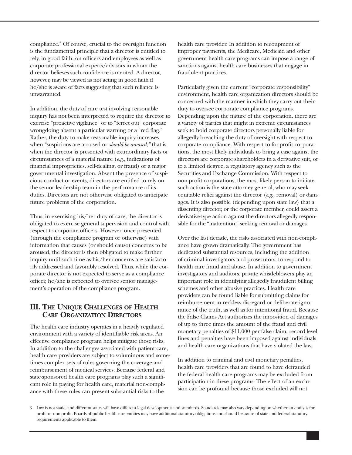compliance.3 Of course, crucial to the oversight function is the fundamental principle that a director is entitled to rely, in good faith, on officers and employees as well as corporate professional experts/advisors in whom the director believes such confidence is merited. A director, however, may be viewed as not acting in good faith if he/she is aware of facts suggesting that such reliance is unwarranted.

In addition, the duty of care test involving reasonable inquiry has not been interpreted to require the director to exercise "proactive vigilance" or to "ferret out" corporate wrongdoing absent a particular warning or a "red flag." Rather, the duty to make reasonable inquiry increases when "suspicions are aroused or *should be aroused;"* that is, when the director is presented with extraordinary facts or circumstances of a material nature (*e.g.,* indications of financial improprieties, self-dealing, or fraud) or a major governmental investigation. Absent the presence of suspicious conduct or events, directors are entitled to rely on the senior leadership team in the performance of its duties. Directors are not otherwise obligated to anticipate future problems of the corporation.

Thus, in exercising his/her duty of care, the director is obligated to exercise general supervision and control with respect to corporate officers. However, once presented (through the compliance program or otherwise) with information that causes (or should cause) concerns to be aroused, the director is then obligated to make further inquiry until such time as his/her concerns are satisfactorily addressed and favorably resolved. Thus, while the corporate director is not expected to serve as a compliance officer, he/she is expected to oversee senior management's operation of the compliance program.

## **III. THE UNIQUE CHALLENGES OF HEALTH CARE ORGANIZATION DIRECTORS**

The health care industry operates in a heavily regulated environment with a variety of identifiable risk areas. An effective compliance program helps mitigate those risks. In addition to the challenges associated with patient care, health care providers are subject to voluminous and sometimes complex sets of rules governing the coverage and reimbursement of medical services. Because federal and state-sponsored health care programs play such a significant role in paying for health care, material non-compliance with these rules can present substantial risks to the

health care provider. In addition to recoupment of improper payments, the Medicare, Medicaid and other government health care programs can impose a range of sanctions against health care businesses that engage in fraudulent practices.

Particularly given the current "corporate responsibility" environment, health care organization directors should be concerned with the manner in which they carry out their duty to oversee corporate compliance programs. Depending upon the nature of the corporation, there are a variety of parties that might in extreme circumstances seek to hold corporate directors personally liable for allegedly breaching the duty of oversight with respect to corporate compliance. With respect to for-profit corporations, the most likely individuals to bring a case against the directors are corporate shareholders in a derivative suit, or to a limited degree, a regulatory agency such as the Securities and Exchange Commission. With respect to non-profit corporations, the most likely person to initiate such action is the state attorney general, who may seek equitable relief against the director (*e.g.,* removal) or damages. It is also possible (depending upon state law) that a dissenting director, or the corporate member, could assert a derivative-type action against the directors allegedly responsible for the "inattention," seeking removal or damages.

Over the last decade, the risks associated with non-compliance have grown dramatically. The government has dedicated substantial resources, including the addition of criminal investigators and prosecutors, to respond to health care fraud and abuse. In addition to government investigators and auditors, private whistleblowers play an important role in identifying allegedly fraudulent billing schemes and other abusive practices. Health care providers can be found liable for submitting claims for reimbursement in reckless disregard or deliberate ignorance of the truth, as well as for intentional fraud. Because the False Claims Act authorizes the imposition of damages of up to three times the amount of the fraud and civil monetary penalties of \$11,000 per false claim, record level fines and penalties have been imposed against individuals and health care organizations that have violated the law.

In addition to criminal and civil monetary penalties, health care providers that are found to have defrauded the federal health care programs may be excluded from participation in these programs. The effect of an exclusion can be profound because those excluded will not

<sup>3</sup>  Law is not static, and different states will have different legal developments and standards. Standards may also vary depending on whether an entity is for profit or non-profit. Boards of public health care entities may have additional statutory obligations and should be aware of state and federal statutory requirements applicable to them.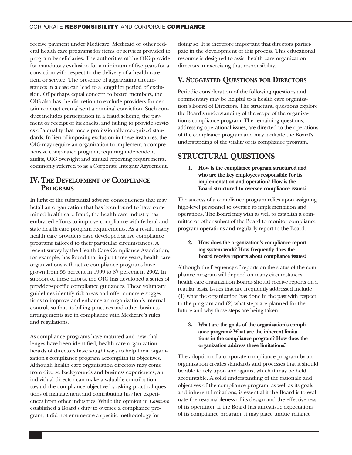#### CORPORATE **RESPONSIBILITY** AND CORPORATE **COMPLIANCE**

receive payment under Medicare, Medicaid or other federal health care programs for items or services provided to program beneficiaries. The authorities of the OIG provide for mandatory exclusion for a minimum of five years for a conviction with respect to the delivery of a health care item or service. The presence of aggravating circumstances in a case can lead to a lengthier period of exclusion. Of perhaps equal concern to board members, the OIG also has the discretion to exclude providers for certain conduct even absent a criminal conviction. Such conduct includes participation in a fraud scheme, the payment or receipt of kickbacks, and failing to provide services of a quality that meets professionally recognized standards. In lieu of imposing exclusion in these instances, the OIG may require an organization to implement a comprehensive compliance program, requiring independent audits, OIG oversight and annual reporting requirements, commonly referred to as a Corporate Integrity Agreement.

## **IV. THE DEVELOPMENT OF COMPLIANCE PROGRAMS**

In light of the substantial adverse consequences that may befall an organization that has been found to have committed health care fraud, the health care industry has embraced efforts to improve compliance with federal and state health care program requirements. As a result, many health care providers have developed active compliance programs tailored to their particular circumstances. A recent survey by the Health Care Compliance Association, for example, has found that in just three years, health care organizations with active compliance programs have grown from 55 percent in 1999 to 87 percent in 2002. In support of these efforts, the OIG has developed a series of provider-specific compliance guidances. These voluntary guidelines identify risk areas and offer concrete suggestions to improve and enhance an organization's internal controls so that its billing practices and other business arrangements are in compliance with Medicare's rules and regulations.

As compliance programs have matured and new challenges have been identified, health care organization boards of directors have sought ways to help their organization's compliance program accomplish its objectives. Although health care organization directors may come from diverse backgrounds and business experiences, an individual director can make a valuable contribution toward the compliance objective by asking practical questions of management and contributing his/her experiences from other industries. While the opinion in *Caremark*  established a Board's duty to oversee a compliance program, it did not enumerate a specific methodology for

doing so. It is therefore important that directors participate in the development of this process. This educational resource is designed to assist health care organization directors in exercising that responsibility.

## **V. SUGGESTED QUESTIONS FOR DIRECTORS**

Periodic consideration of the following questions and commentary may be helpful to a health care organization's Board of Directors. The structural questions explore the Board's understanding of the scope of the organization's compliance program. The remaining questions, addressing operational issues, are directed to the operations of the compliance program and may facilitate the Board's understanding of the vitality of its compliance program.

## **STRUCTURAL QUESTIONS**

**1. How is the compliance program structured and who are the key employees responsible for its implementation and operation? How is the Board structured to oversee compliance issues?** 

The success of a compliance program relies upon assigning high-level personnel to oversee its implementation and operations. The Board may wish as well to establish a committee or other subset of the Board to monitor compliance program operations and regularly report to the Board.

### **2. How does the organization's compliance reporting system work? How frequently does the Board receive reports about compliance issues?**

Although the frequency of reports on the status of the compliance program will depend on many circumstances, health care organization Boards should receive reports on a regular basis. Issues that are frequently addressed include (1) what the organization has done in the past with respect to the program and (2) what steps are planned for the future and why those steps are being taken.

**3. What are the goals of the organization's compliance program? What are the inherent limitations in the compliance program? How does the organization address these limitations?** 

The adoption of a corporate compliance program by an organization creates standards and processes that it should be able to rely upon and against which it may be held accountable. A solid understanding of the rationale and objectives of the compliance program, as well as its goals and inherent limitations, is essential if the Board is to evaluate the reasonableness of its design and the effectiveness of its operation. If the Board has unrealistic expectations of its compliance program, it may place undue reliance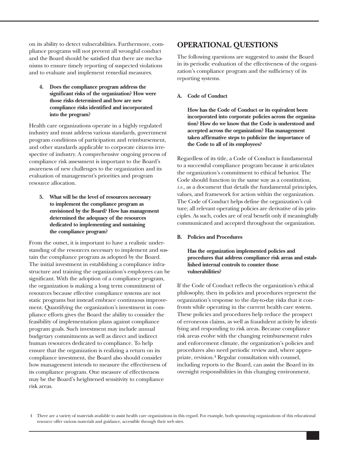on its ability to detect vulnerabilities. Furthermore, compliance programs will not prevent all wrongful conduct and the Board should be satisfied that there are mechanisms to ensure timely reporting of suspected violations and to evaluate and implement remedial measures.

**4. Does the compliance program address the significant risks of the organization? How were those risks determined and how are new compliance risks identified and incorporated into the program?** 

Health care organizations operate in a highly regulated industry and must address various standards, government program conditions of participation and reimbursement, and other standards applicable to corporate citizens irrespective of industry. A comprehensive ongoing process of compliance risk assessment is important to the Board's awareness of new challenges to the organization and its evaluation of management's priorities and program resource allocation.

**5. What will be the level of resources necessary to implement the compliance program as envisioned by the Board? How has management determined the adequacy of the resources dedicated to implementing and sustaining the compliance program?** 

From the outset, it is important to have a realistic understanding of the resources necessary to implement and sustain the compliance program as adopted by the Board. The initial investment in establishing a compliance infrastructure and training the organization's employees can be significant. With the adoption of a compliance program, the organization is making a long term commitment of resources because effective compliance systems are not static programs but instead embrace continuous improvement. Quantifying the organization's investment in compliance efforts gives the Board the ability to consider the feasibility of implementation plans against compliance program goals. Such investment may include annual budgetary commitments as well as direct and indirect human resources dedicated to compliance. To help ensure that the organization is realizing a return on its compliance investment, the Board also should consider how management intends to measure the effectiveness of its compliance program. One measure of effectiveness may be the Board's heightened sensitivity to compliance risk areas.

## **OPERATIONAL QUESTIONS**

The following questions are suggested to assist the Board in its periodic evaluation of the effectiveness of the organization's compliance program and the sufficiency of its reporting systems.

**A. Code of Conduct** 

**How has the Code of Conduct or its equivalent been incorporated into corporate policies across the organization? How do we know that the Code is understood and accepted across the organization? Has management taken affirmative steps to publicize the importance of the Code to all of its employees?** 

Regardless of its title, a Code of Conduct is fundamental to a successful compliance program because it articulates the organization's commitment to ethical behavior. The Code should function in the same way as a constitution, *i.e.*, as a document that details the fundamental principles, values, and framework for action within the organization. The Code of Conduct helps define the organization's culture; all relevant operating policies are derivative of its principles. As such, codes are of real benefit only if meaningfully communicated and accepted throughout the organization.

**B. Policies and Procedures** 

**Has the organization implemented policies and procedures that address compliance risk areas and estab lished internal controls to counter those vulnerabilities?** 

If the Code of Conduct reflects the organization's ethical philosophy, then its policies and procedures represent the organization's response to the day-to-day risks that it confronts while operating in the current health care system. These policies and procedures help reduce the prospect of erroneous claims, as well as fraudulent activity by identifying and responding to risk areas. Because compliance risk areas evolve with the changing reimbursement rules and enforcement climate, the organization's policies and procedures also need periodic review and, where appropriate, revision.4 Regular consultation with counsel, including reports to the Board, can assist the Board in its oversight responsibilities in this changing environment.

<sup>4</sup>  There are a variety of materials available to assist health care organizations in this regard. For example, both sponsoring organizations of this educational resource offer various materials and guidance, accessible through their web sites.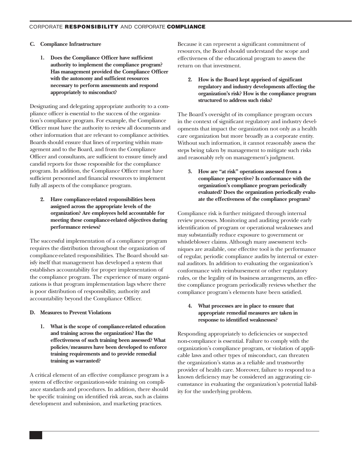#### **C. Compliance Infrastructure**

**1. Does the Compliance Officer have sufficient authority to implement the compliance program? Has management provided the Compliance Officer with the autonomy and sufficient resources necessary to perform assessments and respond appropriately to misconduct?** 

Designating and delegating appropriate authority to a compliance officer is essential to the success of the organization's compliance program. For example, the Compliance Officer must have the authority to review all documents and other information that are relevant to compliance activities. Boards should ensure that lines of reporting within management and to the Board, and from the Compliance Officer and consultants, are sufficient to ensure timely and candid reports for those responsible for the compliance program. In addition, the Compliance Officer must have sufficient personnel and financial resources to implement fully all aspects of the compliance program.

**2. Have compliance-related responsibilities been assigned across the appropriate levels of the organization? Are employees held accountable for meeting these compliance-related objectives during performance reviews?** 

The successful implementation of a compliance program requires the distribution throughout the organization of compliance-related responsibilities. The Board should satisfy itself that management has developed a system that establishes accountability for proper implementation of the compliance program. The experience of many organizations is that program implementation lags where there is poor distribution of responsibility, authority and accountability beyond the Compliance Officer.

#### **D. Measures to Prevent Violations**

**1. What is the scope of compliance-related education and training across the organization? Has the effectiveness of such training been assessed? What policies/measures have been developed to enforce training requirements and to provide remedial training as warranted?** 

A critical element of an effective compliance program is a system of effective organization-wide training on compliance standards and procedures. In addition, there should be specific training on identified risk areas, such as claims development and submission, and marketing practices.

Because it can represent a significant commitment of resources, the Board should understand the scope and effectiveness of the educational program to assess the return on that investment.

**2. How is the Board kept apprised of significant regulatory and industry developments affecting the organization's risk? How is the compliance program structured to address such risks?** 

The Board's oversight of its compliance program occurs in the context of significant regulatory and industry developments that impact the organization not only as a health care organization but more broadly as a corporate entity. Without such information, it cannot reasonably assess the steps being taken by management to mitigate such risks and reasonably rely on management's judgment.

**3. How are "at risk" operations assessed from a compliance perspective? Is conformance with the organization's compliance program periodically evaluated? Does the organization periodically evaluate the effectiveness of the compliance program?** 

Compliance risk is further mitigated through internal review processes. Monitoring and auditing provide early identification of program or operational weaknesses and may substantially reduce exposure to government or whistleblower claims. Although many assessment techniques are available, one effective tool is the performance of regular, periodic compliance audits by internal or external auditors. In addition to evaluating the organization's conformance with reimbursement or other regulatory rules, or the legality of its business arrangements, an effective compliance program periodically reviews whether the compliance program's elements have been satisfied.

#### **4. What processes are in place to ensure that appropriate remedial measures are taken in response to identified weaknesses?**

Responding appropriately to deficiencies or suspected non-compliance is essential. Failure to comply with the organization's compliance program, or violation of applicable laws and other types of misconduct, can threaten the organization's status as a reliable and trustworthy provider of health care. Moreover, failure to respond to a known deficiency may be considered an aggravating circumstance in evaluating the organization's potential liability for the underlying problem.